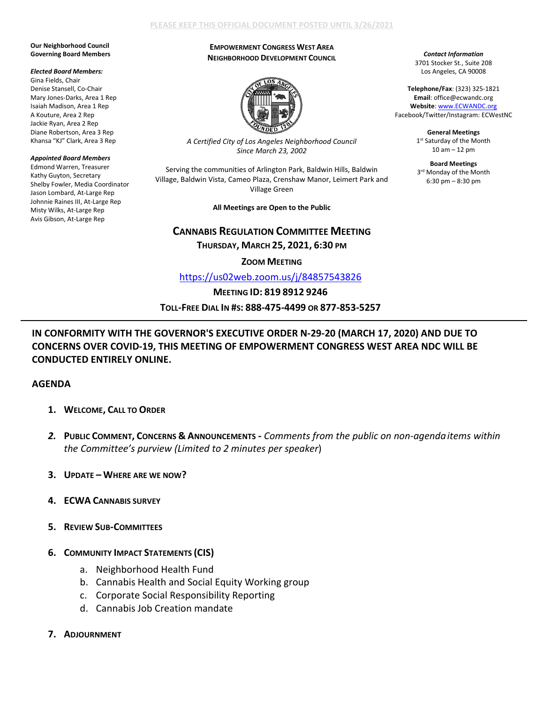### **PLEASE KEEP THIS OFFICIAL DOCUMENT POSTED UNTIL 3/26/2021**

#### **Our Neighborhood Council Governing Board Members**

#### *Elected Board Members:*

Gina Fields, Chair Denise Stansell, Co-Chair Mary Jones-Darks, Area 1 Rep Isaiah Madison, Area 1 Rep A Kouture, Area 2 Rep Jackie Ryan, Area 2 Rep Diane Robertson, Area 3 Rep Khansa "KJ" Clark, Area 3 Rep

#### *Appointed Board Members*

Edmond Warren, Treasurer Kathy Guyton, Secretary Shelby Fowler, Media Coordinator Jason Lombard, At-Large Rep Johnnie Raines III, At-Large Rep Misty Wilks, At-Large Rep Avis Gibson, At-Large Rep

### **EMPOWERMENT CONGRESS WEST AREA NEIGHBORHOOD DEVELOPMENT COUNCIL**



*A Certified City of Los Angeles Neighborhood Council Since March 23, 2002*

Serving the communities of Arlington Park, Baldwin Hills, Baldwin Village, Baldwin Vista, Cameo Plaza, Crenshaw Manor, Leimert Park and Village Green

**All Meetings are Open to the Public** 

**CANNABIS REGULATION COMMITTEE MEETING**

**THURSDAY, MARCH 25, 2021, 6:30 PM**

**ZOOM MEETING**

<https://us02web.zoom.us/j/84857543826>

## **MEETING ID: 819 8912 9246**

**TOLL-FREE DIAL IN #S: 888-475-4499 OR 877-853-5257**

# **IN CONFORMITY WITH THE GOVERNOR'S EXECUTIVE ORDER N-29-20 (MARCH 17, 2020) AND DUE TO CONCERNS OVER COVID-19, THIS MEETING OF EMPOWERMENT CONGRESS WEST AREA NDC WILL BE CONDUCTED ENTIRELY ONLINE.**

## **AGENDA**

- **1. WELCOME, CALL TO ORDER**
- *2.* **PUBLIC COMMENT, CONCERNS & ANNOUNCEMENTS -** *Comments from the public on non-agendaitems within the Committee's purview (Limited to 2 minutes per speaker*)
- **3. UPDATE – WHERE ARE WE NOW?**
- **4. ECWA CANNABIS SURVEY**
- **5. REVIEW SUB-COMMITTEES**

## **6. COMMUNITY IMPACT STATEMENTS (CIS)**

- a. Neighborhood Health Fund
- b. Cannabis Health and Social Equity Working group
- c. Corporate Social Responsibility Reporting
- d. Cannabis Job Creation mandate
- **7. ADJOURNMENT**

*Contact Information* 3701 Stocker St., Suite 208 Los Angeles, CA 90008

**Telephone/Fax**: (323) 325-1821 **Email**: office@ecwandc.org **Website**[: www.ECWANDC.org](http://www.ecwandc.org/) Facebook/Twitter/Instagram: ECWestNC

> **General Meetings** 1st Saturday of the Month 10 am – 12 pm

> **Board Meetings** 3<sup>rd</sup> Monday of the Month 6:30 pm – 8:30 pm